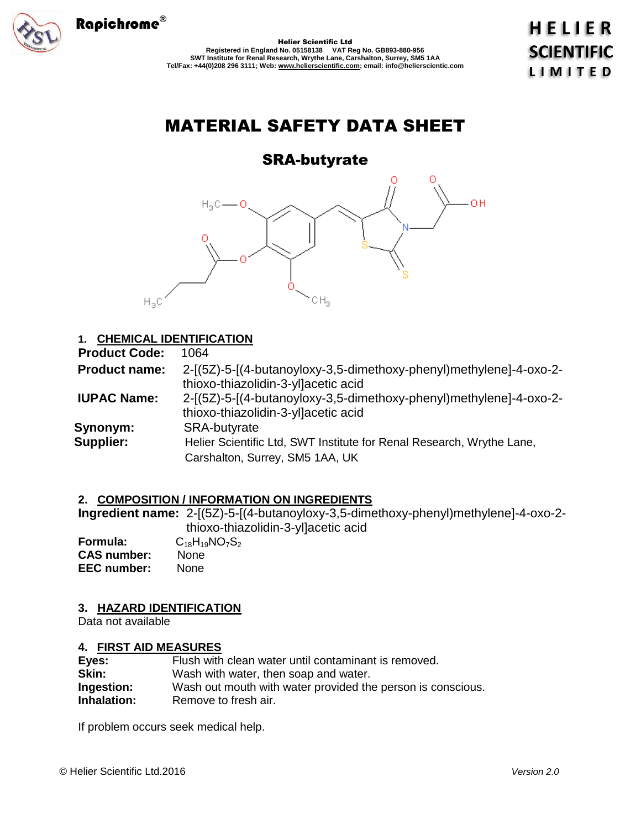

Helier Scientific Ltd **Registered in England No. 05158138 VAT Reg No. GB893-880-956 SWT Institute for Renal Research, Wrythe Lane, Carshalton, Surrey, SM5 1AA Tel/Fax: +44(0)208 296 3111; Web: www.helierscientific.com; email: info@helierscientic.com**  **HELIER SCIENTIFIC LIMITED** 

# MATERIAL SAFETY DATA SHEET

# SRA-butyrate



# **1. CHEMICAL IDENTIFICATION**

| <b>Product Code:</b> | 1064                                                                                                      |
|----------------------|-----------------------------------------------------------------------------------------------------------|
| <b>Product name:</b> | 2-[(5Z)-5-[(4-butanoyloxy-3,5-dimethoxy-phenyl)methylene]-4-oxo-2-<br>thioxo-thiazolidin-3-yllacetic acid |
| <b>IUPAC Name:</b>   | 2-[(5Z)-5-[(4-butanoyloxy-3,5-dimethoxy-phenyl)methylene]-4-oxo-2-<br>thioxo-thiazolidin-3-yllacetic acid |
| Synonym:             | <b>SRA-butyrate</b>                                                                                       |
| <b>Supplier:</b>     | Helier Scientific Ltd, SWT Institute for Renal Research, Wrythe Lane,                                     |
|                      | Carshalton, Surrey, SM5 1AA, UK                                                                           |

# **2. COMPOSITION / INFORMATION ON INGREDIENTS**

**Ingredient name:** 2-[(5Z)-5-[(4-butanoyloxy-3,5-dimethoxy-phenyl)methylene]-4-oxo-2 thioxo-thiazolidin-3-yl]acetic acid **Formula:** C<sub>18</sub>H<sub>19</sub>NO<sub>7</sub>S<sub>2</sub><br>**CAS number:** None **CAS number: EEC number:** None

# **3. HAZARD IDENTIFICATION**

Data not available

# **4. FIRST AID MEASURES**

| Eyes:       | Flush with clean water until contaminant is removed.        |
|-------------|-------------------------------------------------------------|
| Skin:       | Wash with water, then soap and water.                       |
| Ingestion:  | Wash out mouth with water provided the person is conscious. |
| Inhalation: | Remove to fresh air.                                        |

If problem occurs seek medical help.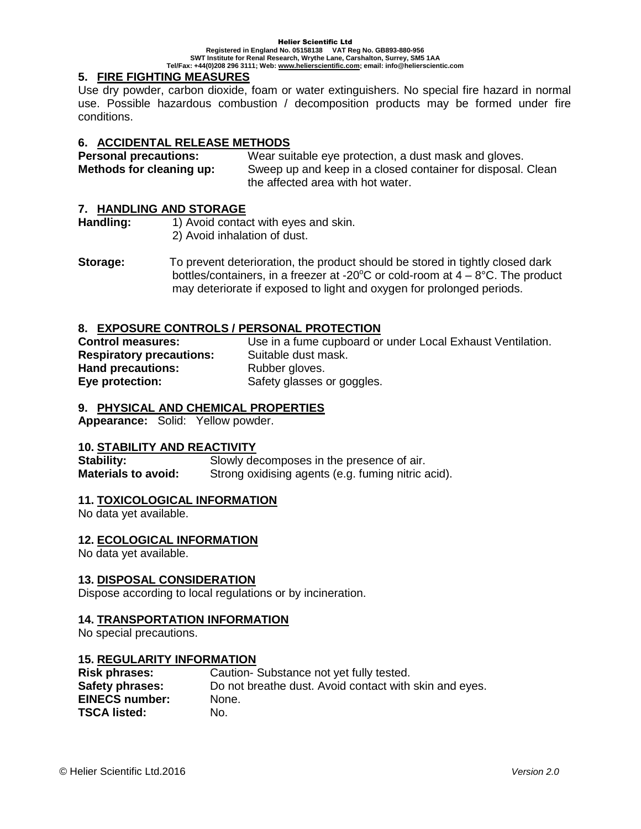#### Helier Scientific Ltd **Registered in England No. 05158138 VAT Reg No. GB893-880-956 SWT Institute for Renal Research, Wrythe Lane, Carshalton, Surrey, SM5 1AA Tel/Fax: +44(0)208 296 3111; Web: www.helierscientific.com; email: info@helierscientic.com**

## **5. FIRE FIGHTING MEASURES**

Use dry powder, carbon dioxide, foam or water extinguishers. No special fire hazard in normal use. Possible hazardous combustion / decomposition products may be formed under fire conditions.

## **6. ACCIDENTAL RELEASE METHODS**

**Personal precautions:** Wear suitable eye protection, a dust mask and gloves. **Methods for cleaning up:** Sweep up and keep in a closed container for disposal. Clean the affected area with hot water.

#### **7. HANDLING AND STORAGE**

Handling: 1) Avoid contact with eyes and skin. 2) Avoid inhalation of dust.

**Storage:** To prevent deterioration, the product should be stored in tightly closed dark bottles/containers, in a freezer at -20 $\degree$ C or cold-room at  $4-8\degree$ C. The product may deteriorate if exposed to light and oxygen for prolonged periods.

## **8. EXPOSURE CONTROLS / PERSONAL PROTECTION**

**Control measures:** Use in a fume cupboard or under Local Exhaust Ventilation. **Respiratory precautions:** Suitable dust mask. **Hand precautions:** Rubber gloves. **Eye protection:** Safety glasses or goggles.

#### **9. PHYSICAL AND CHEMICAL PROPERTIES**

**Appearance:** Solid: Yellow powder.

#### **10. STABILITY AND REACTIVITY**

**Stability:** Slowly decomposes in the presence of air. **Materials to avoid:** Strong oxidising agents (e.g. fuming nitric acid).

#### **11. TOXICOLOGICAL INFORMATION**

No data yet available.

#### **12. ECOLOGICAL INFORMATION**

No data yet available.

#### **13. DISPOSAL CONSIDERATION**

Dispose according to local regulations or by incineration.

#### **14. TRANSPORTATION INFORMATION**

No special precautions.

#### **15. REGULARITY INFORMATION**

| <b>Risk phrases:</b>  | Caution-Substance not yet fully tested.                |
|-----------------------|--------------------------------------------------------|
| Safety phrases:       | Do not breathe dust. Avoid contact with skin and eyes. |
| <b>EINECS number:</b> | None.                                                  |
| <b>TSCA listed:</b>   | No.                                                    |